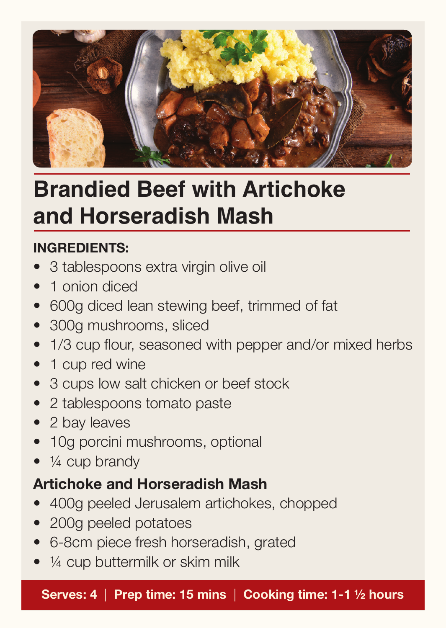

# **Brandied Beef with Artichoke and Horseradish Mash**

### **INGREDIENTS:**

- 3 tablespoons extra virgin olive oil
- 1 onion diced
- 600g diced lean stewing beef, trimmed of fat
- 300g mushrooms, sliced
- 1/3 cup flour, seasoned with pepper and/or mixed herbs
- 1 cup red wine
- 3 cups low salt chicken or beef stock
- 2 tablespoons tomato paste
- 2 bay leaves
- 10g porcini mushrooms, optional
- $\bullet\;$  1/4 cup brandy

### **Artichoke and Horseradish Mash**

- 400g peeled Jerusalem artichokes, chopped
- 200g peeled potatoes
- • 6-8cm piece fresh horseradish, grated
- 1/4 cup buttermilk or skim milk